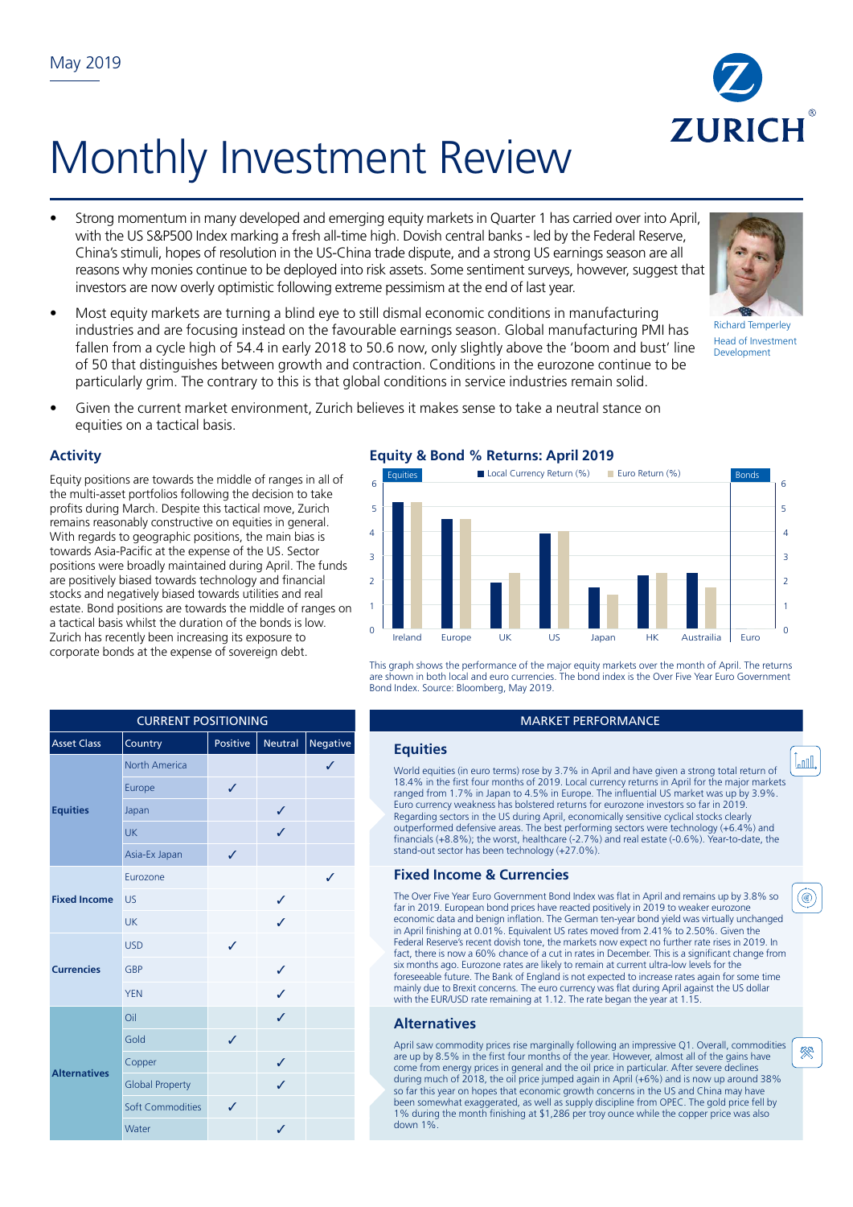

- Strong momentum in many developed and emerging equity markets in Quarter 1 has carried over into April, with the US S&P500 Index marking a fresh all-time high. Dovish central banks - led by the Federal Reserve, China's stimuli, hopes of resolution in the US-China trade dispute, and a strong US earnings season are all reasons why monies continue to be deployed into risk assets. Some sentiment surveys, however, suggest that investors are now overly optimistic following extreme pessimism at the end of last year.
- Most equity markets are turning a blind eye to still dismal economic conditions in manufacturing industries and are focusing instead on the favourable earnings season. Global manufacturing PMI has fallen from a cycle high of 54.4 in early 2018 to 50.6 now, only slightly above the 'boom and bust' line of 50 that distinguishes between growth and contraction. Conditions in the eurozone continue to be particularly grim. The contrary to this is that global conditions in service industries remain solid.
- Given the current market environment, Zurich believes it makes sense to take a neutral stance on equities on a tactical basis.

# **Activity**

Equity positions are towards the middle of ranges in all of the multi-asset portfolios following the decision to take profits during March. Despite this tactical move, Zurich remains reasonably constructive on equities in general. With regards to geographic positions, the main bias is towards Asia-Pacific at the expense of the US. Sector positions were broadly maintained during April. The funds are positively biased towards technology and financial stocks and negatively biased towards utilities and real estate. Bond positions are towards the middle of ranges on a tactical basis whilst the duration of the bonds is low. Zurich has recently been increasing its exposure to corporate bonds at the expense of sovereign debt.

|  | $E_{\alpha11}$ ity 8, Band $\alpha$ Baturner Angli 2016 |  |
|--|---------------------------------------------------------|--|



This graph shows the performance of the major equity markets over the month of April. The returns are shown in both local and euro currencies. The bond index is the Over Five Year Euro Government Bond Index. Source: Bloomberg, May 2019.

World equities (in euro terms) rose by 3.7% in April and have given a strong total return of 18.4% in the first four months of 2019. Local currency returns in April for the major markets ranged from 1.7% in Japan to 4.5% in Europe. The influential US market was up by 3.9%. Euro currency weakness has bolstered returns for eurozone investors so far in 2019. Regarding sectors in the US during April, economically sensitive cyclical stocks clearly outperformed defensive areas. The best performing sectors were technology (+6.4%) and financials (+8.8%); the worst, healthcare (-2.7%) and real estate (-0.6%). Year-to-date, the stand-out sector has been technology (+27.0%).

The Over Five Year Euro Government Bond Index was flat in April and remains up by 3.8% so far in 2019. European bond prices have reacted positively in 2019 to weaker eurozone economic data and benign inflation. The German ten-year bond yield was virtually unchanged in April finishing at 0.01%. Equivalent US rates moved from 2.41% to 2.50%. Given the Federal Reserve's recent dovish tone, the markets now expect no further rate rises in 2019. In fact, there is now a 60% chance of a cut in rates in December. This is a significant change from six months ago. Eurozone rates are likely to remain at current ultra-low levels for the foreseeable future. The Bank of England is not expected to increase rates again for some time mainly due to Brexit concerns. The euro currency was flat during April against the US dollar with the EUR/USD rate remaining at 1.12. The rate began the year at 1.15.

April saw commodity prices rise marginally following an impressive Q1. Overall, commodities are up by 8.5% in the first four months of the year. However, almost all of the gains have come from energy prices in general and the oil price in particular. After severe declines during much of 2018, the oil price jumped again in April (+6%) and is now up around 38% so far this year on hopes that economic growth concerns in the US and China may have been somewhat exaggerated, as well as supply discipline from OPEC. The gold price fell by 1% during the month finishing at \$1,286 per troy ounce while the copper price was also down 1%.









▒

Lond.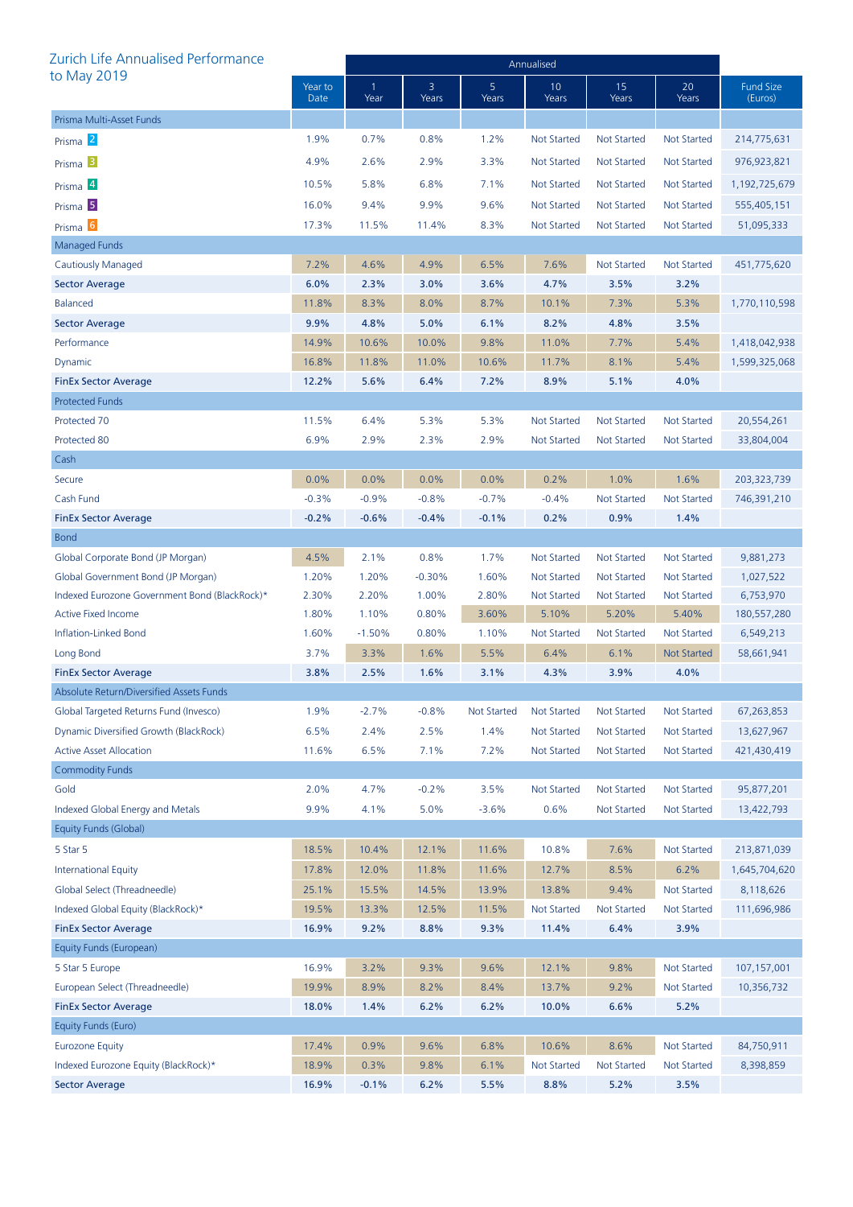| Zurich Life Annualised Performance            |                 | Annualised |            |                         |                    |                    |                    |                             |
|-----------------------------------------------|-----------------|------------|------------|-------------------------|--------------------|--------------------|--------------------|-----------------------------|
| to May 2019                                   | Year to<br>Date | -1<br>Year | 3<br>Years | 5 <sub>1</sub><br>Years | 10<br>Years        | 15<br>Years        | 20<br>Years        | <b>Fund Size</b><br>(Euros) |
| Prisma Multi-Asset Funds                      |                 |            |            |                         |                    |                    |                    |                             |
| Prisma <sup>2</sup>                           | 1.9%            | 0.7%       | 0.8%       | 1.2%                    | <b>Not Started</b> | <b>Not Started</b> | Not Started        | 214,775,631                 |
| Prisma <sup>3</sup>                           | 4.9%            | 2.6%       | 2.9%       | 3.3%                    | <b>Not Started</b> | <b>Not Started</b> | Not Started        | 976,923,821                 |
| Prisma 4                                      | 10.5%           | 5.8%       | 6.8%       | 7.1%                    | <b>Not Started</b> | <b>Not Started</b> | Not Started        | 1,192,725,679               |
| Prisma <sup>5</sup>                           | 16.0%           | 9.4%       | 9.9%       | 9.6%                    | <b>Not Started</b> | <b>Not Started</b> | Not Started        | 555,405,151                 |
| Prisma <sup>6</sup>                           | 17.3%           | 11.5%      | 11.4%      | 8.3%                    | <b>Not Started</b> | <b>Not Started</b> | Not Started        | 51,095,333                  |
| <b>Managed Funds</b>                          |                 |            |            |                         |                    |                    |                    |                             |
| Cautiously Managed                            | 7.2%            | 4.6%       | 4.9%       | 6.5%                    | 7.6%               | <b>Not Started</b> | <b>Not Started</b> | 451,775,620                 |
| <b>Sector Average</b>                         | 6.0%            | 2.3%       | 3.0%       | 3.6%                    | 4.7%               | 3.5%               | 3.2%               |                             |
| <b>Balanced</b>                               | 11.8%           | 8.3%       | 8.0%       | 8.7%                    | 10.1%              | 7.3%               | 5.3%               | 1,770,110,598               |
| <b>Sector Average</b>                         | 9.9%            | 4.8%       | 5.0%       | 6.1%                    | 8.2%               | 4.8%               | 3.5%               |                             |
| Performance                                   | 14.9%           | 10.6%      | 10.0%      | 9.8%                    | 11.0%              | 7.7%               | 5.4%               | 1,418,042,938               |
| Dynamic                                       | 16.8%           | 11.8%      | 11.0%      | 10.6%                   | 11.7%              | 8.1%               | 5.4%               | 1,599,325,068               |
| <b>FinEx Sector Average</b>                   | 12.2%           | 5.6%       | 6.4%       | 7.2%                    | 8.9%               | 5.1%               | 4.0%               |                             |
| <b>Protected Funds</b>                        |                 |            |            |                         |                    |                    |                    |                             |
| Protected 70                                  | 11.5%           | 6.4%       | 5.3%       | 5.3%                    | <b>Not Started</b> | <b>Not Started</b> | <b>Not Started</b> | 20,554,261                  |
| Protected 80                                  | 6.9%            | 2.9%       | 2.3%       | 2.9%                    | <b>Not Started</b> | <b>Not Started</b> | Not Started        | 33,804,004                  |
| Cash                                          |                 |            |            |                         |                    |                    |                    |                             |
| Secure                                        | 0.0%            | 0.0%       | 0.0%       | 0.0%                    | 0.2%               | 1.0%               | 1.6%               | 203, 323, 739               |
| Cash Fund                                     | $-0.3%$         | $-0.9%$    | $-0.8%$    | $-0.7%$                 | $-0.4%$            | <b>Not Started</b> | <b>Not Started</b> | 746,391,210                 |
| <b>FinEx Sector Average</b>                   | $-0.2%$         | $-0.6%$    | $-0.4%$    | $-0.1%$                 | 0.2%               | 0.9%               | 1.4%               |                             |
| <b>Bond</b>                                   |                 |            |            |                         |                    |                    |                    |                             |
| Global Corporate Bond (JP Morgan)             | 4.5%            | 2.1%       | 0.8%       | 1.7%                    | <b>Not Started</b> | <b>Not Started</b> | <b>Not Started</b> | 9,881,273                   |
| Global Government Bond (JP Morgan)            | 1.20%           | 1.20%      | $-0.30%$   | 1.60%                   | <b>Not Started</b> | <b>Not Started</b> | Not Started        | 1,027,522                   |
| Indexed Eurozone Government Bond (BlackRock)* | 2.30%           | 2.20%      | 1.00%      | 2.80%                   | <b>Not Started</b> | <b>Not Started</b> | <b>Not Started</b> | 6,753,970                   |
| <b>Active Fixed Income</b>                    | 1.80%           | 1.10%      | 0.80%      | 3.60%                   | 5.10%              | 5.20%              | 5.40%              | 180,557,280                 |
| Inflation-Linked Bond                         | 1.60%           | $-1.50%$   | 0.80%      | 1.10%                   | Not Started        | <b>Not Started</b> | <b>Not Started</b> | 6,549,213                   |
| Long Bond                                     | 3.7%            | 3.3%       | 1.6%       | 5.5%                    | 6.4%               | 6.1%               | <b>Not Started</b> | 58,661,941                  |
| <b>FinEx Sector Average</b>                   | 3.8%            | 2.5%       | 1.6%       | 3.1%                    | 4.3%               | 3.9%               | 4.0%               |                             |
| Absolute Return/Diversified Assets Funds      |                 |            |            |                         |                    |                    |                    |                             |
| Global Targeted Returns Fund (Invesco)        | 1.9%            | $-2.7%$    | $-0.8%$    | <b>Not Started</b>      | <b>Not Started</b> | <b>Not Started</b> | Not Started        | 67,263,853                  |
| Dynamic Diversified Growth (BlackRock)        | 6.5%            | 2.4%       | 2.5%       | 1.4%                    | <b>Not Started</b> | <b>Not Started</b> | <b>Not Started</b> | 13,627,967                  |
| <b>Active Asset Allocation</b>                | 11.6%           | 6.5%       | 7.1%       | 7.2%                    | <b>Not Started</b> | <b>Not Started</b> | <b>Not Started</b> | 421,430,419                 |
| <b>Commodity Funds</b>                        |                 |            |            |                         |                    |                    |                    |                             |
| Gold                                          | 2.0%            | 4.7%       | $-0.2%$    | 3.5%                    | <b>Not Started</b> | <b>Not Started</b> | <b>Not Started</b> | 95,877,201                  |
| Indexed Global Energy and Metals              | 9.9%            | 4.1%       | 5.0%       | $-3.6%$                 | 0.6%               | <b>Not Started</b> | Not Started        | 13,422,793                  |
| Equity Funds (Global)                         |                 |            |            |                         |                    |                    |                    |                             |
| 5 Star 5                                      | 18.5%           | 10.4%      | 12.1%      | 11.6%                   | 10.8%              | 7.6%               | Not Started        | 213,871,039                 |
| <b>International Equity</b>                   | 17.8%           | 12.0%      | 11.8%      | 11.6%                   | 12.7%              | 8.5%               | 6.2%               | 1,645,704,620               |
| Global Select (Threadneedle)                  | 25.1%           | 15.5%      | 14.5%      | 13.9%                   | 13.8%              | 9.4%               | <b>Not Started</b> | 8,118,626                   |
| Indexed Global Equity (BlackRock)*            | 19.5%           | 13.3%      | 12.5%      | 11.5%                   | <b>Not Started</b> | <b>Not Started</b> | <b>Not Started</b> | 111,696,986                 |
| <b>FinEx Sector Average</b>                   | 16.9%           | 9.2%       | 8.8%       | 9.3%                    | 11.4%              | 6.4%               | 3.9%               |                             |
| Equity Funds (European)                       |                 |            |            |                         |                    |                    |                    |                             |
| 5 Star 5 Europe                               | 16.9%           | 3.2%       | 9.3%       | 9.6%                    | 12.1%              | 9.8%               | <b>Not Started</b> | 107, 157, 001               |
| European Select (Threadneedle)                | 19.9%           | 8.9%       | 8.2%       | 8.4%                    | 13.7%              | 9.2%               | <b>Not Started</b> | 10,356,732                  |
| <b>FinEx Sector Average</b>                   | 18.0%           | 1.4%       | 6.2%       | 6.2%                    | 10.0%              | 6.6%               | 5.2%               |                             |
| Equity Funds (Euro)                           |                 |            |            |                         |                    |                    |                    |                             |
| <b>Eurozone Equity</b>                        | 17.4%           | 0.9%       | 9.6%       | 6.8%                    | 10.6%              | 8.6%               | <b>Not Started</b> | 84,750,911                  |
| Indexed Eurozone Equity (BlackRock)*          | 18.9%           | 0.3%       | 9.8%       | 6.1%                    | <b>Not Started</b> | <b>Not Started</b> | <b>Not Started</b> | 8,398,859                   |
| <b>Sector Average</b>                         | 16.9%           | $-0.1%$    | 6.2%       | 5.5%                    | 8.8%               | 5.2%               | 3.5%               |                             |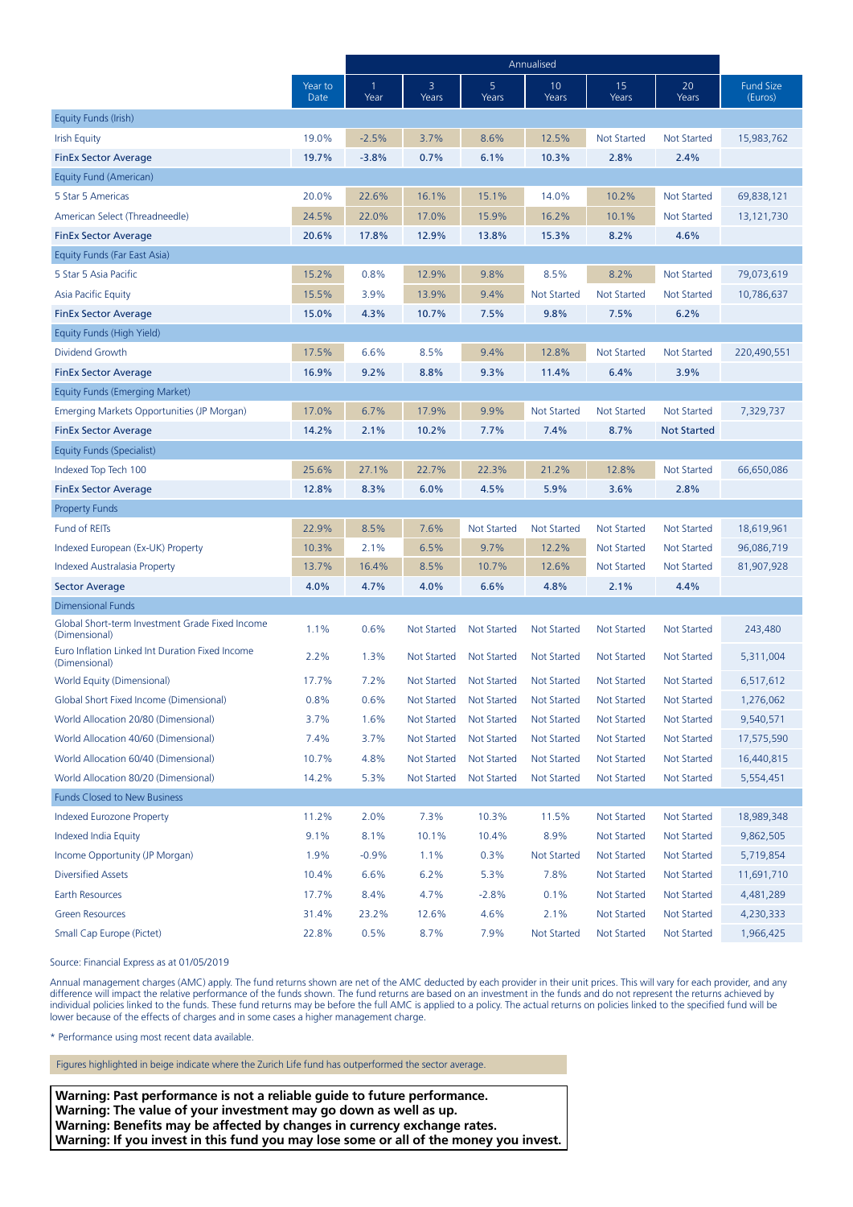|                                                                  |                 | Annualised |                    |                         |                    |                    |                    |                             |
|------------------------------------------------------------------|-----------------|------------|--------------------|-------------------------|--------------------|--------------------|--------------------|-----------------------------|
|                                                                  | Year to<br>Date | -1<br>Year | 3<br>Years         | 5 <sup>1</sup><br>Years | 10<br>Years        | 15<br>Years        | 20<br>Years        | <b>Fund Size</b><br>(Euros) |
| Equity Funds (Irish)                                             |                 |            |                    |                         |                    |                    |                    |                             |
| <b>Irish Equity</b>                                              | 19.0%           | $-2.5%$    | 3.7%               | 8.6%                    | 12.5%              | <b>Not Started</b> | <b>Not Started</b> | 15,983,762                  |
| <b>FinEx Sector Average</b>                                      | 19.7%           | $-3.8%$    | 0.7%               | 6.1%                    | 10.3%              | 2.8%               | 2.4%               |                             |
| Equity Fund (American)                                           |                 |            |                    |                         |                    |                    |                    |                             |
| 5 Star 5 Americas                                                | 20.0%           | 22.6%      | 16.1%              | 15.1%                   | 14.0%              | 10.2%              | <b>Not Started</b> | 69,838,121                  |
| American Select (Threadneedle)                                   | 24.5%           | 22.0%      | 17.0%              | 15.9%                   | 16.2%              | 10.1%              | <b>Not Started</b> | 13,121,730                  |
| <b>FinEx Sector Average</b>                                      | 20.6%           | 17.8%      | 12.9%              | 13.8%                   | 15.3%              | 8.2%               | 4.6%               |                             |
| Equity Funds (Far East Asia)                                     |                 |            |                    |                         |                    |                    |                    |                             |
| 5 Star 5 Asia Pacific                                            | 15.2%           | 0.8%       | 12.9%              | 9.8%                    | 8.5%               | 8.2%               | Not Started        | 79,073,619                  |
| <b>Asia Pacific Equity</b>                                       | 15.5%           | 3.9%       | 13.9%              | 9.4%                    | <b>Not Started</b> | <b>Not Started</b> | <b>Not Started</b> | 10,786,637                  |
| <b>FinEx Sector Average</b>                                      | 15.0%           | 4.3%       | 10.7%              | 7.5%                    | 9.8%               | 7.5%               | 6.2%               |                             |
| Equity Funds (High Yield)                                        |                 |            |                    |                         |                    |                    |                    |                             |
| Dividend Growth                                                  | 17.5%           | 6.6%       | 8.5%               | 9.4%                    | 12.8%              | <b>Not Started</b> | <b>Not Started</b> | 220,490,551                 |
| <b>FinEx Sector Average</b>                                      | 16.9%           | 9.2%       | 8.8%               | 9.3%                    | 11.4%              | 6.4%               | 3.9%               |                             |
| Equity Funds (Emerging Market)                                   |                 |            |                    |                         |                    |                    |                    |                             |
| Emerging Markets Opportunities (JP Morgan)                       | 17.0%           | 6.7%       | 17.9%              | 9.9%                    | <b>Not Started</b> | <b>Not Started</b> | Not Started        | 7,329,737                   |
| <b>FinEx Sector Average</b>                                      | 14.2%           | 2.1%       | 10.2%              | 7.7%                    | 7.4%               | 8.7%               | <b>Not Started</b> |                             |
| Equity Funds (Specialist)                                        |                 |            |                    |                         |                    |                    |                    |                             |
| Indexed Top Tech 100                                             | 25.6%           | 27.1%      | 22.7%              | 22.3%                   | 21.2%              | 12.8%              | <b>Not Started</b> | 66,650,086                  |
| <b>FinEx Sector Average</b>                                      | 12.8%           | 8.3%       | 6.0%               | 4.5%                    | 5.9%               | 3.6%               | 2.8%               |                             |
| <b>Property Funds</b>                                            |                 |            |                    |                         |                    |                    |                    |                             |
| <b>Fund of REITs</b>                                             | 22.9%           | 8.5%       | 7.6%               | <b>Not Started</b>      | <b>Not Started</b> | <b>Not Started</b> | Not Started        | 18,619,961                  |
| Indexed European (Ex-UK) Property                                | 10.3%           | 2.1%       | 6.5%               | 9.7%                    | 12.2%              | <b>Not Started</b> | <b>Not Started</b> | 96,086,719                  |
| Indexed Australasia Property                                     | 13.7%           | 16.4%      | 8.5%               | 10.7%                   | 12.6%              | <b>Not Started</b> | <b>Not Started</b> | 81,907,928                  |
| <b>Sector Average</b>                                            | 4.0%            | 4.7%       | 4.0%               | 6.6%                    | 4.8%               | 2.1%               | 4.4%               |                             |
| <b>Dimensional Funds</b>                                         |                 |            |                    |                         |                    |                    |                    |                             |
| Global Short-term Investment Grade Fixed Income<br>(Dimensional) | 1.1%            | 0.6%       | Not Started        | <b>Not Started</b>      | <b>Not Started</b> | <b>Not Started</b> | <b>Not Started</b> | 243,480                     |
| Euro Inflation Linked Int Duration Fixed Income<br>(Dimensional) | 2.2%            | 1.3%       | Not Started        | <b>Not Started</b>      | <b>Not Started</b> | Not Started        | Not Started        | 5,311,004                   |
| World Equity (Dimensional)                                       | 17.7%           | 7.2%       |                    | Not Started Not Started | Not Started        | Not Started        | Not Started        | 6,517,612                   |
| Global Short Fixed Income (Dimensional)                          | 0.8%            | 0.6%       | Not Started        | <b>Not Started</b>      | Not Started        | Not Started        | Not Started        | 1,276,062                   |
| World Allocation 20/80 (Dimensional)                             | 3.7%            | 1.6%       | Not Started        | <b>Not Started</b>      | <b>Not Started</b> | <b>Not Started</b> | Not Started        | 9,540,571                   |
| World Allocation 40/60 (Dimensional)                             | 7.4%            | 3.7%       | <b>Not Started</b> | <b>Not Started</b>      | <b>Not Started</b> | <b>Not Started</b> | <b>Not Started</b> | 17,575,590                  |
| World Allocation 60/40 (Dimensional)                             | 10.7%           | 4.8%       | Not Started        | <b>Not Started</b>      | <b>Not Started</b> | <b>Not Started</b> | <b>Not Started</b> | 16,440,815                  |
| World Allocation 80/20 (Dimensional)                             | 14.2%           | 5.3%       | Not Started        | <b>Not Started</b>      | <b>Not Started</b> | <b>Not Started</b> | Not Started        | 5,554,451                   |
| <b>Funds Closed to New Business</b>                              |                 |            |                    |                         |                    |                    |                    |                             |
| <b>Indexed Eurozone Property</b>                                 | 11.2%           | 2.0%       | 7.3%               | 10.3%                   | 11.5%              | <b>Not Started</b> | Not Started        | 18,989,348                  |
| Indexed India Equity                                             | 9.1%            | 8.1%       | 10.1%              | 10.4%                   | 8.9%               | <b>Not Started</b> | <b>Not Started</b> | 9,862,505                   |
| Income Opportunity (JP Morgan)                                   | 1.9%            | $-0.9%$    | 1.1%               | 0.3%                    | <b>Not Started</b> | <b>Not Started</b> | <b>Not Started</b> | 5,719,854                   |
| <b>Diversified Assets</b>                                        | 10.4%           | 6.6%       | 6.2%               | 5.3%                    | 7.8%               | <b>Not Started</b> | <b>Not Started</b> | 11,691,710                  |
| <b>Earth Resources</b>                                           | 17.7%           | 8.4%       | 4.7%               | $-2.8%$                 | 0.1%               | <b>Not Started</b> | Not Started        | 4,481,289                   |
| <b>Green Resources</b>                                           | 31.4%           | 23.2%      | 12.6%              | 4.6%                    | 2.1%               | <b>Not Started</b> | <b>Not Started</b> | 4,230,333                   |
| Small Cap Europe (Pictet)                                        | 22.8%           | 0.5%       | 8.7%               | 7.9%                    | Not Started        | <b>Not Started</b> | Not Started        | 1,966,425                   |

Source: Financial Express as at 01/05/2019

Annual management charges (AMC) apply. The fund returns shown are net of the AMC deducted by each provider in their unit prices. This will vary for each provider, and any difference will impact the relative performance of the funds shown. The fund returns are based on an investment in the funds and do not represent the returns achieved by individual policies linked to the funds. These fund returns may be before the full AMC is applied to a policy. The actual returns on policies linked to the specified fund will be lower because of the effects of charges and in some cases a higher management charge.

\* Performance using most recent data available.

Figures highlighted in beige indicate where the Zurich Life fund has outperformed the sector average.

**Warning: Past performance is not a reliable guide to future performance. Warning: The value of your investment may go down as well as up. Warning: Benefits may be affected by changes in currency exchange rates. Warning: If you invest in this fund you may lose some or all of the money you invest.**